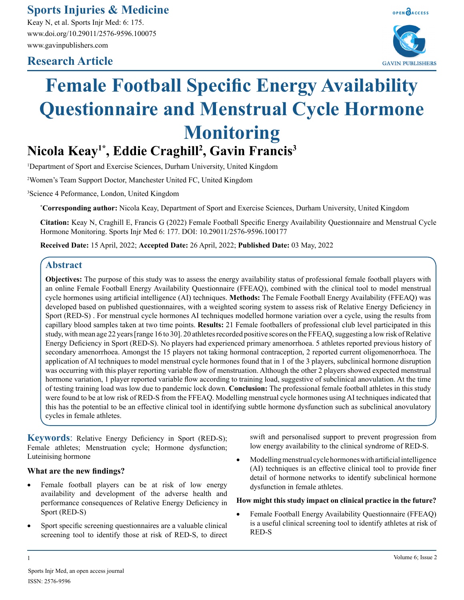**Sports Injuries & Medicine**

Keay N, et al. Sports Injr Med: 6: 175. www.doi.org/10.29011/2576-9596.100075 www.gavinpublishers.com

# **Research Article**



# **Female Football Specific Energy Availability Questionnaire and Menstrual Cycle Hormone Monitoring**

# **Nicola Keay1\*, Eddie Craghill<sup>2</sup> , Gavin Francis<sup>3</sup>**

1 Department of Sport and Exercise Sciences, Durham University, United Kingdom

2 Women's Team Support Doctor, Manchester United FC, United Kingdom

3 Science 4 Peformance, London, United Kingdom

**\* Corresponding author:** Nicola Keay, Department of Sport and Exercise Sciences, Durham University, United Kingdom

**Citation:** Keay N, Craghill E, Francis G (2022) Female Football Specific Energy Availability Questionnaire and Menstrual Cycle Hormone Monitoring. Sports Injr Med 6: 177. DOI: 10.29011/2576-9596.100177

**Received Date:** 15 April, 2022; **Accepted Date:** 26 April, 2022; **Published Date:** 03 May, 2022

# **Abstract**

**Objectives:** The purpose of this study was to assess the energy availability status of professional female football players with an online Female Football Energy Availability Questionnaire (FFEAQ), combined with the clinical tool to model menstrual cycle hormones using artificial intelligence (AI) techniques. **Methods:** The Female Football Energy Availability (FFEAQ) was developed based on published questionnaires, with a weighted scoring system to assess risk of Relative Energy Deficiency in Sport (RED-S) . For menstrual cycle hormones AI techniques modelled hormone variation over a cycle, using the results from capillary blood samples taken at two time points. **Results:** 21 Female footballers of professional club level participated in this study, with mean age 22 years [range 16 to 30]. 20 athletes recorded positive scores on the FFEAQ, suggesting a low risk of Relative Energy Deficiency in Sport (RED-S). No players had experienced primary amenorrhoea. 5 athletes reported previous history of secondary amenorrhoea. Amongst the 15 players not taking hormonal contraception, 2 reported current oligomenorrhoea. The application of AI techniques to model menstrual cycle hormones found that in 1 of the 3 players, subclinical hormone disruption was occurring with this player reporting variable flow of menstruation. Although the other 2 players showed expected menstrual hormone variation, 1 player reported variable flow according to training load, suggestive of subclinical anovulation. At the time of testing training load was low due to pandemic lock down. **Conclusion:** The professional female football athletes in this study were found to be at low risk of RED-S from the FFEAQ. Modelling menstrual cycle hormones using AI techniques indicated that this has the potential to be an effective clinical tool in identifying subtle hormone dysfunction such as subclinical anovulatory cycles in female athletes.

**Keywords**: Relative Energy Deficiency in Sport (RED-S); Female athletes; Menstruation cycle; Hormone dysfunction; Luteinising hormone

# **What are the new findings?**

- Female football players can be at risk of low energy availability and development of the adverse health and performance consequences of Relative Energy Deficiency in Sport (RED-S)
- Sport specific screening questionnaires are a valuable clinical screening tool to identify those at risk of RED-S, to direct

swift and personalised support to prevent progression from low energy availability to the clinical syndrome of RED-S.

• Modelling menstrual cycle hormones with artificial intelligence (AI) techniques is an effective clinical tool to provide finer detail of hormone networks to identify subclinical hormone dysfunction in female athletes.

# **How might this study impact on clinical practice in the future?**

Female Football Energy Availability Questionnaire (FFEAQ) is a useful clinical screening tool to identify athletes at risk of RED-S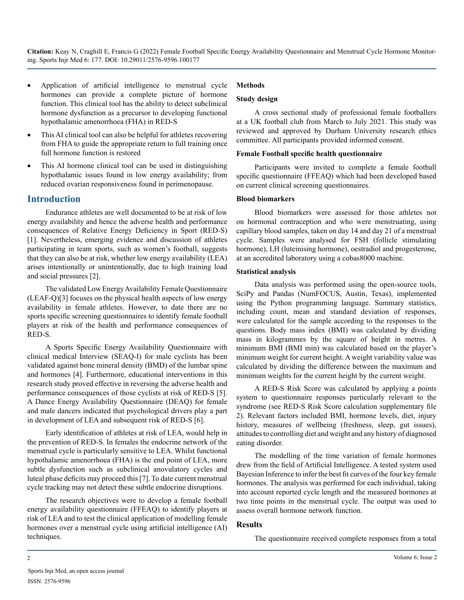- Application of artificial intelligence to menstrual cycle hormones can provide a complete picture of hormone function. This clinical tool has the ability to detect subclinical hormone dysfunction as a precursor to developing functional hypothalamic amenorrhoea (FHA) in RED-S
- This AI clinical tool can also be helpful for athletes recovering from FHA to guide the appropriate return to full training once full hormone function is restored
- This AI hormone clinical tool can be used in distinguishing hypothalamic issues found in low energy availability; from reduced ovarian responsiveness found in perimenopause.

# **Introduction**

Endurance athletes are well documented to be at risk of low energy availability and hence the adverse health and performance consequences of Relative Energy Deficiency in Sport (RED-S) [1]. Nevertheless, emerging evidence and discussion of athletes participating in team sports, such as women's football, suggests that they can also be at risk, whether low energy availability (LEA) arises intentionally or unintentionally, due to high training load and social pressures [2].

The validated Low Energy Availability Female Questionnaire (LEAF-Q)[3] focuses on the physical health aspects of low energy availability in female athletes. However, to date there are no sports specific screening questionnaires to identify female football players at risk of the health and performance consequences of RED-S.

A Sports Specific Energy Availability Questionnaire with clinical medical Interview (SEAQ-I) for male cyclists has been validated against bone mineral density (BMD) of the lumbar spine and hormones [4]. Furthermore, educational interventions in this research study proved effective in reversing the adverse health and performance consequences of those cyclists at risk of RED-S [5]. A Dance Energy Availability Questionnaire (DEAQ) for female and male dancers indicated that psychological drivers play a part in development of LEA and subsequent risk of RED-S [6].

Early identification of athletes at risk of LEA, would help in the prevention of RED-S. In females the endocrine network of the menstrual cycle is particularly sensitive to LEA. Whilst functional hypothalamic amenorrhoea (FHA) is the end point of LEA, more subtle dysfunction such as subclinical anovulatory cycles and luteal phase deficits may proceed this [7]. To date current menstrual cycle tracking may not detect these subtle endocrine disruptions.

The research objectives were to develop a female football energy availability questionnaire (FFEAQ) to identify players at risk of LEA and to test the clinical application of modelling female hormones over a menstrual cycle using artificial intelligence (AI) techniques.

# **Methods**

#### **Study design**

A cross sectional study of professional female footballers at a UK football club from March to July 2021. This study was reviewed and approved by Durham University research ethics committee. All participants provided informed consent.

#### **Female Football specific health questionnaire**

Participants were invited to complete a female football specific questionnaire (FFEAQ) which had been developed based on current clinical screening questionnaires.

#### **Blood biomarkers**

Blood biomarkers were assessed for those athletes not on hormonal contraception and who were menstruating, using capillary blood samples, taken on day 14 and day 21 of a menstrual cycle. Samples were analysed for FSH (follicle stimulating hormone), LH (luteinising hormone), oestradiol and progesterone, at an accredited laboratory using a cobas8000 machine.

#### **Statistical analysis**

Data analysis was performed using the open-source tools, SciPy and Pandas (NumFOCUS, Austin, Texas), implemented using the Python programming language. Summary statistics, including count, mean and standard deviation of responses, were calculated for the sample according to the responses to the questions. Body mass index (BMI) was calculated by dividing mass in kilogrammes by the square of height in metres. A minimum BMI (BMI min) was calculated based on the player's minimum weight for current height. A weight variability value was calculated by dividing the difference between the maximum and minimum weights for the current height by the current weight.

A RED-S Risk Score was calculated by applying a points system to questionnaire responses particularly relevant to the syndrome (see RED-S Risk Score calculation supplementary file 2). Relevant factors included BMI, hormone levels, diet, injury history, measures of wellbeing (freshness, sleep, gut issues), attitudes to controlling diet and weight and any history of diagnosed eating disorder.

The modelling of the time variation of female hormones drew from the field of Artificial Intelligence. A tested system used Bayesian Inference to infer the best fit curves of the four key female hormones. The analysis was performed for each individual, taking into account reported cycle length and the measured hormones at two time points in the menstrual cycle. The output was used to assess overall hormone network function.

# **Results**

The questionnaire received complete responses from a total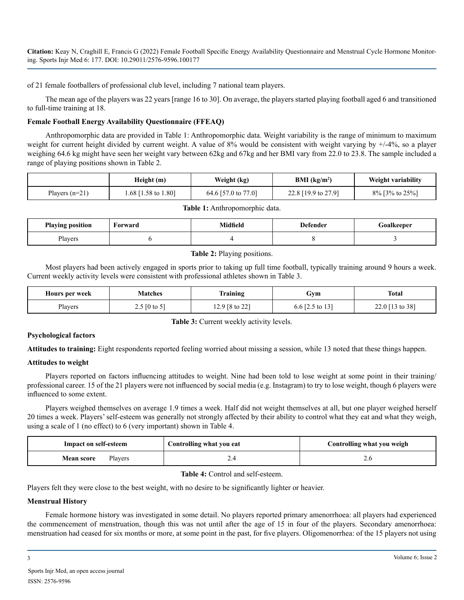of 21 female footballers of professional club level, including 7 national team players.

The mean age of the players was 22 years [range 16 to 30]. On average, the players started playing football aged 6 and transitioned to full-time training at 18.

# **Female Football Energy Availability Questionnaire (FFEAQ)**

Anthropomorphic data are provided in Table 1: Anthropomorphic data. Weight variability is the range of minimum to maximum weight for current height divided by current weight. A value of 8% would be consistent with weight varying by  $+/-4%$ , so a player weighing 64.6 kg might have seen her weight vary between 62kg and 67kg and her BMI vary from 22.0 to 23.8. The sample included a range of playing positions shown in Table 2.

|                  | Height (m)          | Weight (kg)         | BMI $(kg/m2)$       | Weight variability  |
|------------------|---------------------|---------------------|---------------------|---------------------|
| Players $(n=21)$ | 1.68 [1.58 to 1.80] | 64.6 [57.0 to 77.0] | 22.8 [19.9 to 27.9] | $8\%$ [3\% to 25\%] |

| <b>Playing position</b> | Forward | Aidfield | Defender | Foalkeeper |
|-------------------------|---------|----------|----------|------------|
| Players                 |         |          |          |            |

# **Table 2:** Playing positions.

Most players had been actively engaged in sports prior to taking up full time football, typically training around 9 hours a week. Current weekly activity levels were consistent with professional athletes shown in Table 3.

| Hours per week | <b>Matches</b> | Training                  | Gym                        | <b>Total</b>    |
|----------------|----------------|---------------------------|----------------------------|-----------------|
| Players        | 2.5 [0 to 5]   | 12.9 $[8 \text{ to } 22]$ | 6.6 $[2.5 \text{ to } 13]$ | 22.0 [13 to 38] |

**Table 3:** Current weekly activity levels.

# **Psychological factors**

**Attitudes to training:** Eight respondents reported feeling worried about missing a session, while 13 noted that these things happen.

# **Attitudes to weight**

Players reported on factors influencing attitudes to weight. Nine had been told to lose weight at some point in their training/ professional career. 15 of the 21 players were not influenced by social media (e.g. Instagram) to try to lose weight, though 6 players were influenced to some extent.

Players weighed themselves on average 1.9 times a week. Half did not weight themselves at all, but one player weighed herself 20 times a week. Players' self-esteem was generally not strongly affected by their ability to control what they eat and what they weigh, using a scale of 1 (no effect) to 6 (very important) shown in Table 4.

| <b>Impact on self-esteem</b> | Controlling what you eat | Controlling what you weigh |
|------------------------------|--------------------------|----------------------------|
| <b>Mean score</b><br>Players |                          |                            |

**Table 4:** Control and self-esteem.

Players felt they were close to the best weight, with no desire to be significantly lighter or heavier.

# **Menstrual History**

Female hormone history was investigated in some detail. No players reported primary amenorrhoea: all players had experienced the commencement of menstruation, though this was not until after the age of 15 in four of the players. Secondary amenorrhoea: menstruation had ceased for six months or more, at some point in the past, for five players. Oligomenorrhea: of the 15 players not using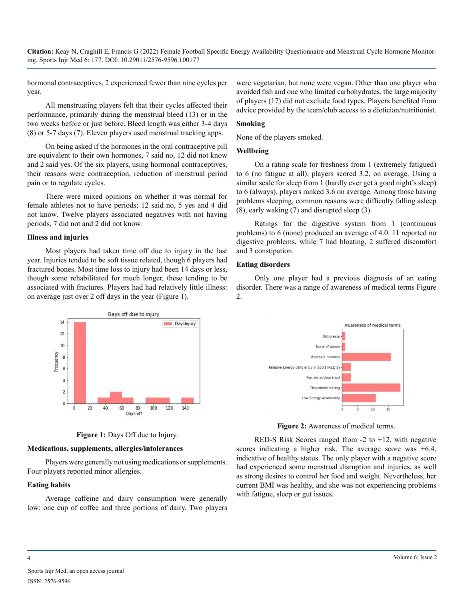hormonal contraceptives, 2 experienced fewer than nine cycles per year.

All menstruating players felt that their cycles affected their performance, primarily during the menstrual bleed (13) or in the two weeks before or just before. Bleed length was either 3-4 days (8) or 5-7 days (7). Eleven players used menstrual tracking apps.

On being asked if the hormones in the oral contraceptive pill are equivalent to their own hormones, 7 said no, 12 did not know and 2 said yes. Of the six players, using hormonal contraceptives, their reasons were contraception, reduction of menstrual period pain or to regulate cycles.

There were mixed opinions on whether it was normal for female athletes not to have periods: 12 said no, 5 yes and 4 did not know. Twelve players associated negatives with not having periods, 7 did not and 2 did not know.

#### **Illness and injuries**

Most players had taken time off due to injury in the last year. Injuries tended to be soft tissue related, though 6 players had fractured bones. Most time loss to injury had been 14 days or less, though some rehabilitated for much longer, these tending to be associated with fractures. Players had had relatively little illness: on average just over 2 off days in the year (Figure 1).





# **Medications, supplements, allergies/intolerances**

Players were generally not using medications or supplements. Four players reported minor allergies.

#### **Eating habits**

Average caffeine and dairy consumption were generally low: one cup of coffee and three portions of dairy. Two players were vegetarian, but none were vegan. Other than one player who avoided fish and one who limited carbohydrates, the large majority of players (17) did not exclude food types. Players benefited from advice provided by the team/club access to a dietician/nutritionist.

#### **Smoking**

None of the players smoked.

#### **Wellbeing**

On a rating scale for freshness from 1 (extremely fatigued) to 6 (no fatigue at all), players scored 3.2, on average. Using a similar scale for sleep from 1 (hardly ever get a good night's sleep) to 6 (always), players ranked 3.6 on average. Among those having problems sleeping, common reasons were difficulty falling asleep (8), early waking (7) and disrupted sleep (3).

Ratings for the digestive system from 1 (continuous problems) to 6 (none) produced an average of 4.0. 11 reported no digestive problems, while 7 had bloating, 2 suffered discomfort and 3 constipation.

#### **Eating disorders**

Only one player had a previous diagnosis of an eating disorder. There was a range of awareness of medical terms Figure 2.



**Figure 2:** Awareness of medical terms.

RED-S Risk Scores ranged from  $-2$  to  $+12$ , with negative scores indicating a higher risk. The average score was  $+6.4$ , indicative of healthy status. The only player with a negative score had experienced some menstrual disruption and injuries, as well as strong desires to control her food and weight. Nevertheless, her current BMI was healthy, and she was not experiencing problems with fatigue, sleep or gut issues.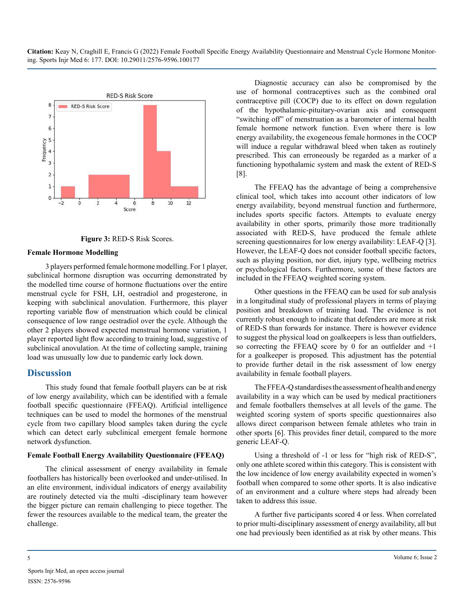

**Figure 3:** RED-S Risk Scores.

#### **Female Hormone Modelling**

3 players performed female hormone modelling. For 1 player, subclinical hormone disruption was occurring demonstrated by the modelled time course of hormone fluctuations over the entire menstrual cycle for FSH, LH, oestradiol and progesterone, in keeping with subclinical anovulation. Furthermore, this player reporting variable flow of menstruation which could be clinical consequence of low range oestradiol over the cycle. Although the other 2 players showed expected menstrual hormone variation, 1 player reported light flow according to training load, suggestive of subclinical anovulation. At the time of collecting sample, training load was unusually low due to pandemic early lock down.

# **Discussion**

This study found that female football players can be at risk of low energy availability, which can be identified with a female football specific questionnaire (FFEAQ). Artificial intelligence techniques can be used to model the hormones of the menstrual cycle from two capillary blood samples taken during the cycle which can detect early subclinical emergent female hormone network dysfunction.

#### **Female Football Energy Availability Questionnaire (FFEAQ)**

The clinical assessment of energy availability in female footballers has historically been overlooked and under-utilised. In an elite environment, individual indicators of energy availability are routinely detected via the multi -disciplinary team however the bigger picture can remain challenging to piece together. The fewer the resources available to the medical team, the greater the challenge.

Diagnostic accuracy can also be compromised by the use of hormonal contraceptives such as the combined oral contraceptive pill (COCP) due to its effect on down regulation of the hypothalamic-pituitary-ovarian axis and consequent "switching off" of menstruation as a barometer of internal health female hormone network function. Even where there is low energy availability, the exogeneous female hormones in the COCP will induce a regular withdrawal bleed when taken as routinely prescribed. This can erroneously be regarded as a marker of a functioning hypothalamic system and mask the extent of RED-S [8].

The FFEAQ has the advantage of being a comprehensive clinical tool, which takes into account other indicators of low energy availability, beyond menstrual function and furthermore, includes sports specific factors. Attempts to evaluate energy availability in other sports, primarily those more traditionally associated with RED-S, have produced the female athlete screening questionnaires for low energy availability: LEAF-Q [3]. However, the LEAF-Q does not consider football specific factors, such as playing position, nor diet, injury type, wellbeing metrics or psychological factors. Furthermore, some of these factors are included in the FFEAQ weighted scoring system.

Other questions in the FFEAQ can be used for sub analysis in a longitudinal study of professional players in terms of playing position and breakdown of training load. The evidence is not currently robust enough to indicate that defenders are more at risk of RED-S than forwards for instance. There is however evidence to suggest the physical load on goalkeepers is less than outfielders, so correcting the FFEAQ score by 0 for an outfielder and +1 for a goalkeeper is proposed. This adjustment has the potential to provide further detail in the risk assessment of low energy availability in female football players.

The FFEA-Q standardises the assessment of health and energy availability in a way which can be used by medical practitioners and female footballers themselves at all levels of the game. The weighted scoring system of sports specific questionnaires also allows direct comparison between female athletes who train in other sports [6]. This provides finer detail, compared to the more generic LEAF-Q.

Using a threshold of -1 or less for "high risk of RED-S", only one athlete scored within this category. This is consistent with the low incidence of low energy availability expected in women's football when compared to some other sports. It is also indicative of an environment and a culture where steps had already been taken to address this issue.

A further five participants scored 4 or less. When correlated to prior multi-disciplinary assessment of energy availability, all but one had previously been identified as at risk by other means. This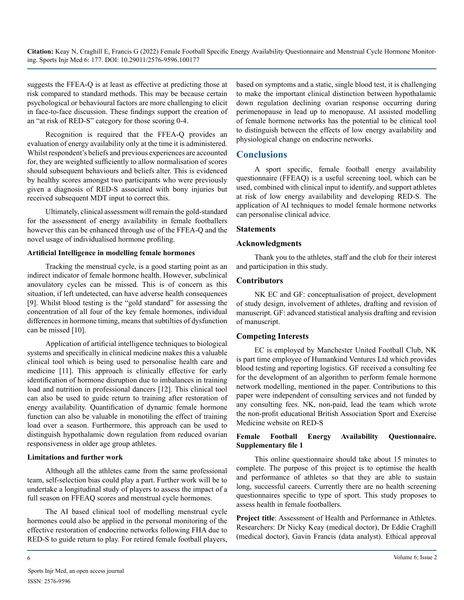suggests the FFEA-Q is at least as effective at predicting those at risk compared to standard methods. This may be because certain psychological or behavioural factors are more challenging to elicit in face-to-face discussion. These findings support the creation of an "at risk of RED-S" category for those scoring 0-4.

Recognition is required that the FFEA-Q provides an evaluation of energy availability only at the time it is administered. Whilst respondent's beliefs and previous experiences are accounted for, they are weighted sufficiently to allow normalisation of scores should subsequent behaviours and beliefs alter. This is evidenced by healthy scores amongst two participants who were previously given a diagnosis of RED-S associated with bony injuries but received subsequent MDT input to correct this.

Ultimately, clinical assessment will remain the gold-standard for the assessment of energy availability in female footballers however this can be enhanced through use of the FFEA-Q and the novel usage of individualised hormone profiling.

#### **Artificial Intelligence in modelling female hormones**

Tracking the menstrual cycle, is a good starting point as an indirect indicator of female hormone health. However, subclinical anovulatory cycles can be missed. This is of concern as this situation, if left undetected, can have adverse health consequences [9]. Whilst blood testing is the "gold standard" for assessing the concentration of all four of the key female hormones, individual differences in hormone timing, means that subtilties of dysfunction can be missed [10].

Application of artificial intelligence techniques to biological systems and specifically in clinical medicine makes this a valuable clinical tool which is being used to personalise health care and medicine [11]. This approach is clinically effective for early identification of hormone disruption due to imbalances in training load and nutrition in professional dancers [12]. This clinical tool can also be used to guide return to training after restoration of energy availability. Quantification of dynamic female hormone function can also be valuable in monotiling the effect of training load over a season. Furthermore, this approach can be used to distinguish hypothalamic down regulation from reduced ovarian responsiveness in older age group athletes.

#### **Limitations and further work**

Although all the athletes came from the same professional team, self-selection bias could play a part. Further work will be to undertake a longitudinal study of players to assess the impact of a full season on FFEAQ scores and menstrual cycle hormones.

The AI based clinical tool of modelling menstrual cycle hormones could also be applied in the personal monitoring of the effective restoration of endocrine networks following FHA due to RED-S to guide return to play. For retired female football players,

based on symptoms and a static, single blood test, it is challenging to make the important clinical distinction between hypothalamic down regulation declining ovarian response occurring during perimenopause in lead up to menopause. AI assisted modelling of female hormone networks has the potential to be clinical tool to distinguish between the effects of low energy availability and physiological change on endocrine networks.

# **Conclusions**

A sport specific, female football energy availability questionnaire (FFEAQ) is a useful screening tool, which can be used, combined with clinical input to identify, and support athletes at risk of low energy availability and developing RED-S. The application of AI techniques to model female hormone networks can personalise clinical advice.

#### **Statements**

#### **Acknowledgments**

Thank you to the athletes, staff and the club for their interest and participation in this study.

#### **Contributors**

NK EC and GF: conceptualisation of project, development of study design, involvement of athletes, drafting and revision of manuscript. GF: advanced statistical analysis drafting and revision of manuscript.

#### **Competing Interests**

EC is employed by Manchester United Football Club, NK is part time employee of Humankind Ventures Ltd which provides blood testing and reporting logistics. GF received a consulting fee for the development of an algorithm to perform female hormone network modelling, mentioned in the paper. Contributions to this paper were independent of consulting services and not funded by any consulting fees. NK, non-paid, lead the team which wrote the non-profit educational British Association Sport and Exercise Medicine website on RED-S

#### **Female Football Energy Availability Questionnaire. Supplementary file 1**

This online questionnaire should take about 15 minutes to complete. The purpose of this project is to optimise the health and performance of athletes so that they are able to sustain long, successful careers. Currently there are no health screening questionnaires specific to type of sport. This study proposes to assess health in female footballers.

**Project title**: Assessment of Health and Performance in Athletes. Researchers: Dr Nicky Keay (medical doctor), Dr Eddie Craghill (medical doctor), Gavin Francis (data analyst). Ethical approval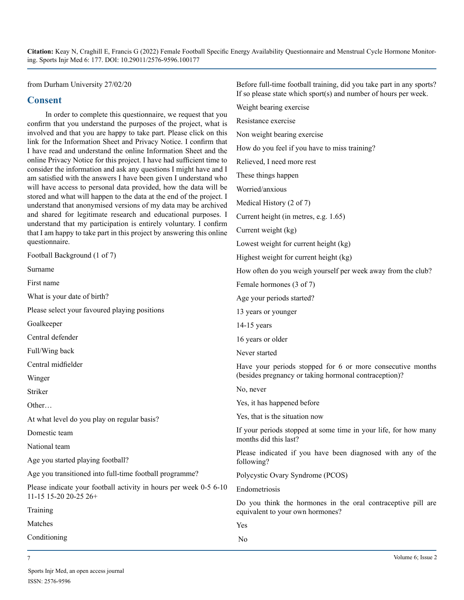> Weight bearing exercise Resistance exercise

Non weight bearing exercise

Relieved, I need more rest

These things happen Worried/anxious

How do you feel if you have to miss training?

Before full-time football training, did you take part in any sports? If so please state which sport(s) and number of hours per week.

from Durham University 27/02/20

# **Consent**

In order to complete this questionnaire, we request that you confirm that you understand the purposes of the project, what is involved and that you are happy to take part. Please click on this link for the Information Sheet and Privacy Notice. I confirm that I have read and understand the online Information Sheet and the online Privacy Notice for this project. I have had sufficient time to consider the information and ask any questions I might have and I am satisfied with the answers I have been given I understand who will have access to personal data provided, how the data will be stored and what will happen to the data at the end of the project. I understand that anonymised versions of my data may be archived and shared for legitimate research and educational purposes. I understand that my participation is entirely voluntary. I confirm that I am happy to take part in this project by answering this online questionnaire.

Football Background (1 of 7) Surname First name What is your date of birth? Please select your favoured playing positions Goalkeeper Central defender Full/Wing back Central midfielder Winger Striker Other… At what level do you play on regular basis? Domestic team National team Age you started playing football? Age you transitioned into full-time football programme? Please indicate your football activity in hours per week 0-5 6-10 11-15 15-20 20-25 26+ Training Matches Conditioning Medical History (2 of 7) Current height (in metres, e.g. 1.65) Current weight (kg) Lowest weight for current height (kg) Highest weight for current height (kg) How often do you weigh yourself per week away from the club? Female hormones (3 of 7) Age your periods started? 13 years or younger 14-15 years 16 years or older Never started Have your periods stopped for 6 or more consecutive months (besides pregnancy or taking hormonal contraception)? No, never Yes, it has happened before Yes, that is the situation now If your periods stopped at some time in your life, for how many months did this last? Please indicated if you have been diagnosed with any of the following? Polycystic Ovary Syndrome (PCOS) Endometriosis Do you think the hormones in the oral contraceptive pill are equivalent to your own hormones? Yes No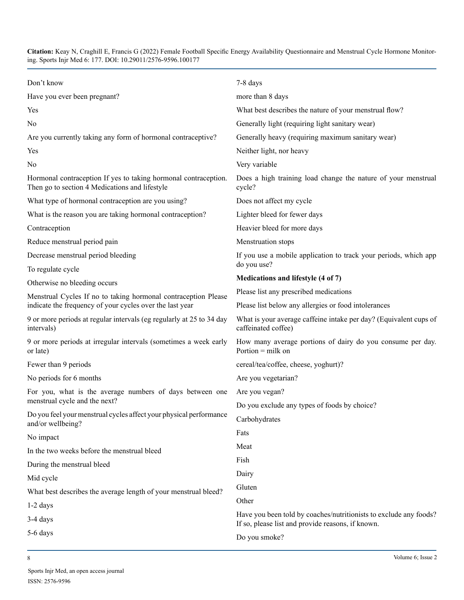| Don't know                                                                                                        | 7-8 days                                                                                                               |  |
|-------------------------------------------------------------------------------------------------------------------|------------------------------------------------------------------------------------------------------------------------|--|
| Have you ever been pregnant?                                                                                      | more than 8 days                                                                                                       |  |
| Yes                                                                                                               | What best describes the nature of your menstrual flow?                                                                 |  |
| No                                                                                                                | Generally light (requiring light sanitary wear)                                                                        |  |
| Are you currently taking any form of hormonal contraceptive?                                                      | Generally heavy (requiring maximum sanitary wear)                                                                      |  |
| Yes                                                                                                               | Neither light, nor heavy                                                                                               |  |
| No                                                                                                                | Very variable                                                                                                          |  |
| Hormonal contraception If yes to taking hormonal contraception.<br>Then go to section 4 Medications and lifestyle | Does a high training load change the nature of your menstrual<br>cycle?                                                |  |
| What type of hormonal contraception are you using?                                                                | Does not affect my cycle                                                                                               |  |
| What is the reason you are taking hormonal contraception?                                                         | Lighter bleed for fewer days                                                                                           |  |
| Contraception                                                                                                     | Heavier bleed for more days                                                                                            |  |
| Reduce menstrual period pain                                                                                      | Menstruation stops                                                                                                     |  |
| Decrease menstrual period bleeding                                                                                | If you use a mobile application to track your periods, which app                                                       |  |
| To regulate cycle                                                                                                 | do you use?                                                                                                            |  |
| Otherwise no bleeding occurs                                                                                      | Medications and lifestyle (4 of 7)                                                                                     |  |
| Menstrual Cycles If no to taking hormonal contraception Please                                                    | Please list any prescribed medications                                                                                 |  |
| indicate the frequency of your cycles over the last year                                                          | Please list below any allergies or food intolerances                                                                   |  |
| 9 or more periods at regular intervals (eg regularly at 25 to 34 day<br>intervals)                                | What is your average caffeine intake per day? (Equivalent cups of<br>caffeinated coffee)                               |  |
| 9 or more periods at irregular intervals (sometimes a week early<br>or late)                                      | How many average portions of dairy do you consume per day.<br>Portion $=$ milk on                                      |  |
| Fewer than 9 periods                                                                                              | cereal/tea/coffee, cheese, yoghurt)?                                                                                   |  |
| No periods for 6 months                                                                                           | Are you vegetarian?                                                                                                    |  |
| For you, what is the average numbers of days between one                                                          | Are you vegan?                                                                                                         |  |
| menstrual cycle and the next?                                                                                     | Do you exclude any types of foods by choice?                                                                           |  |
| Do you feel your menstrual cycles affect your physical performance<br>and/or wellbeing?                           | Carbohydrates                                                                                                          |  |
| No impact                                                                                                         | Fats                                                                                                                   |  |
| In the two weeks before the menstrual bleed                                                                       | Meat                                                                                                                   |  |
| During the menstrual bleed                                                                                        | Fish                                                                                                                   |  |
| Mid cycle                                                                                                         | Dairy                                                                                                                  |  |
| What best describes the average length of your menstrual bleed?                                                   | Gluten                                                                                                                 |  |
| $1-2$ days                                                                                                        | Other                                                                                                                  |  |
| 3-4 days                                                                                                          | Have you been told by coaches/nutritionists to exclude any foods?<br>If so, please list and provide reasons, if known. |  |
| 5-6 days                                                                                                          | Do you smoke?                                                                                                          |  |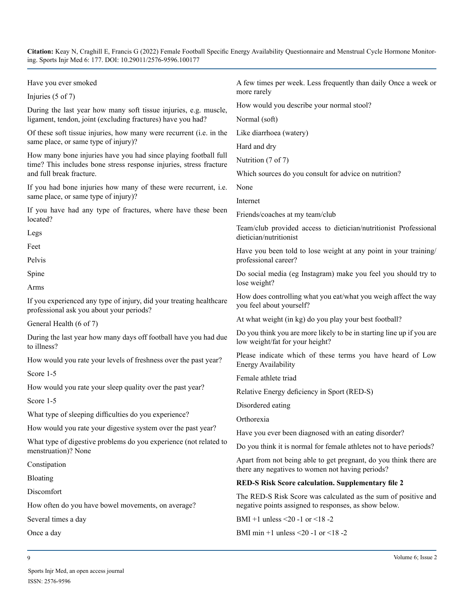| Have you ever smoked                                                                                                                  | A few times per week. Less frequently than daily Once a week or                                                       |  |  |
|---------------------------------------------------------------------------------------------------------------------------------------|-----------------------------------------------------------------------------------------------------------------------|--|--|
| Injuries $(5 \text{ of } 7)$                                                                                                          | more rarely                                                                                                           |  |  |
| During the last year how many soft tissue injuries, e.g. muscle,                                                                      | How would you describe your normal stool?                                                                             |  |  |
| ligament, tendon, joint (excluding fractures) have you had?                                                                           | Normal (soft)                                                                                                         |  |  |
| Of these soft tissue injuries, how many were recurrent (i.e. in the                                                                   | Like diarrhoea (watery)                                                                                               |  |  |
| same place, or same type of injury)?                                                                                                  | Hard and dry                                                                                                          |  |  |
| How many bone injuries have you had since playing football full<br>time? This includes bone stress response injuries, stress fracture | Nutrition (7 of 7)                                                                                                    |  |  |
| and full break fracture.                                                                                                              | Which sources do you consult for advice on nutrition?                                                                 |  |  |
| If you had bone injuries how many of these were recurrent, i.e.                                                                       | None                                                                                                                  |  |  |
| same place, or same type of injury)?                                                                                                  | Internet                                                                                                              |  |  |
| If you have had any type of fractures, where have these been<br>located?                                                              | Friends/coaches at my team/club                                                                                       |  |  |
| Legs                                                                                                                                  | Team/club provided access to dietician/nutritionist Professional<br>dietician/nutritionist                            |  |  |
| Feet                                                                                                                                  | Have you been told to lose weight at any point in your training/                                                      |  |  |
| Pelvis                                                                                                                                | professional career?                                                                                                  |  |  |
| Spine                                                                                                                                 | Do social media (eg Instagram) make you feel you should try to<br>lose weight?                                        |  |  |
| Arms                                                                                                                                  |                                                                                                                       |  |  |
| If you experienced any type of injury, did your treating healthcare<br>professional ask you about your periods?                       | How does controlling what you eat/what you weigh affect the way<br>you feel about yourself?                           |  |  |
| General Health (6 of 7)                                                                                                               | At what weight (in kg) do you play your best football?                                                                |  |  |
| During the last year how many days off football have you had due<br>to illness?                                                       | Do you think you are more likely to be in starting line up if you are<br>low weight/fat for your height?              |  |  |
| How would you rate your levels of freshness over the past year?                                                                       | Please indicate which of these terms you have heard of Low<br><b>Energy Availability</b>                              |  |  |
| Score 1-5                                                                                                                             | Female athlete triad                                                                                                  |  |  |
| How would you rate your sleep quality over the past year?                                                                             | Relative Energy deficiency in Sport (RED-S)                                                                           |  |  |
| Score 1-5                                                                                                                             | Disordered eating                                                                                                     |  |  |
| What type of sleeping difficulties do you experience?                                                                                 | Orthorexia                                                                                                            |  |  |
| How would you rate your digestive system over the past year?                                                                          | Have you ever been diagnosed with an eating disorder?                                                                 |  |  |
| What type of digestive problems do you experience (not related to<br>menstruation)? None                                              | Do you think it is normal for female athletes not to have periods?                                                    |  |  |
| Constipation                                                                                                                          | Apart from not being able to get pregnant, do you think there are<br>there any negatives to women not having periods? |  |  |
| Bloating                                                                                                                              | <b>RED-S Risk Score calculation. Supplementary file 2</b>                                                             |  |  |
| Discomfort                                                                                                                            | The RED-S Risk Score was calculated as the sum of positive and                                                        |  |  |
| How often do you have bowel movements, on average?                                                                                    | negative points assigned to responses, as show below.                                                                 |  |  |
| Several times a day                                                                                                                   | BMI +1 unless <20 -1 or <18 -2                                                                                        |  |  |
| Once a day                                                                                                                            | BMI min +1 unless <20 -1 or <18 -2                                                                                    |  |  |
|                                                                                                                                       |                                                                                                                       |  |  |